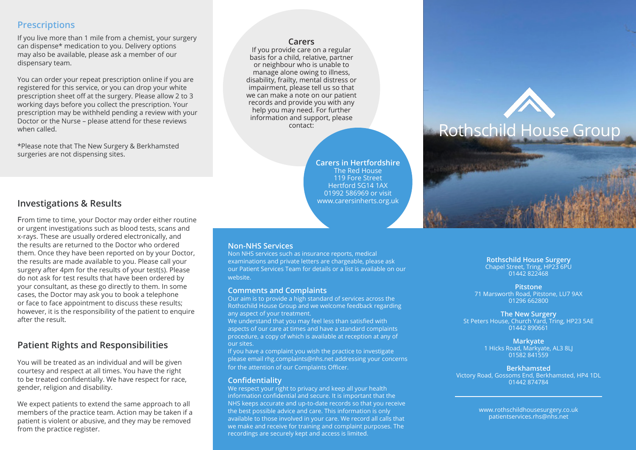# **Prescriptions**

If you live more than 1 mile from a chemist, your surgery can dispense\* medication to you. Delivery options may also be available, please ask a member of our dispensary team.

You can order your repeat prescription online if you are registered for this service, or you can drop your white prescription sheet off at the surgery. Please allow 2 to 3 working days before you collect the prescription. Your prescription may be withheld pending a review with your Doctor or the Nurse – please attend for these reviews when called.

\*Please note that The New Surgery & Berkhamsted surgeries are not dispensing sites.

### **Carers**

If you provide care on a regular basis for a child, relative, partner or neighbour who is unable to manage alone owing to illness, disability, frailty, mental distress or impairment, please tell us so that we can make a note on our patient records and provide you with any help you may need. For further information and support, please contact:

> **Carers in Hertfordshire** The Red House 119 Fore Street Hertford SG14 1AX 01992 586969 or visit www.carersinherts.org.uk

## **Investigations & Results**

From time to time, your Doctor may order either routine or urgent investigations such as blood tests, scans and x-rays. These are usually ordered electronically, and the results are returned to the Doctor who ordered them. Once they have been reported on by your Doctor, the results are made available to you. Please call your surgery after 4pm for the results of your test(s). Please do not ask for test results that have been ordered by your consultant, as these go directly to them. In some cases, the Doctor may ask you to book a telephone or face to face appointment to discuss these results; however, it is the responsibility of the patient to enquire after the result.

## **Patient Rights and Responsibilities**

You will be treated as an individual and will be given courtesy and respect at all times. You have the right to be treated confidentially. We have respect for race, gender, religion and disability.

We expect patients to extend the same approach to all members of the practice team. Action may be taken if a patient is violent or abusive, and they may be removed from the practice register.

### **Non-NHS Services**

Non NHS services such as insurance reports, medical examinations and private letters are chargeable, please ask our Patient Services Team for details or a list is available on our website.

#### **Comments and Complaints**

Our aim is to provide a high standard of services across the Rothschild House Group and we welcome feedback regarding any aspect of your treatment.

We understand that you may feel less than satisfied with aspects of our care at times and have a standard complaints procedure, a copy of which is available at reception at any of our sites.

If you have a complaint you wish the practice to investigate please email rhg.complaints@nhs.net addressing your concerns for the attention of our Complaints Officer.

#### **Confidentiality**

We respect your right to privacy and keep all your health information confidential and secure. It is important that the NHS keeps accurate and up-to-date records so that you receive the best possible advice and care. This information is only available to those involved in your care. We record all calls that we make and receive for training and complaint purposes. The recordings are securely kept and access is limited.

# **Rothschild House Surgery** Chapel Street, Tring, HP23 6PU

Rothschild House Group

01442 822468

**Pitstone** 71 Marsworth Road, Pitstone, LU7 9AX 01296 662800

**The New Surgery** St Peters House, Church Yard, Tring, HP23 5AE 01442 890661

> **Markyate** 1 Hicks Road, Markyate, AL3 8LJ 01582 841559

**Berkhamsted** Victory Road, Gossoms End, Berkhamsted, HP4 1DL 01442 874784

> www.rothschildhousesurgery.co.uk patientservices.rhs@nhs.net